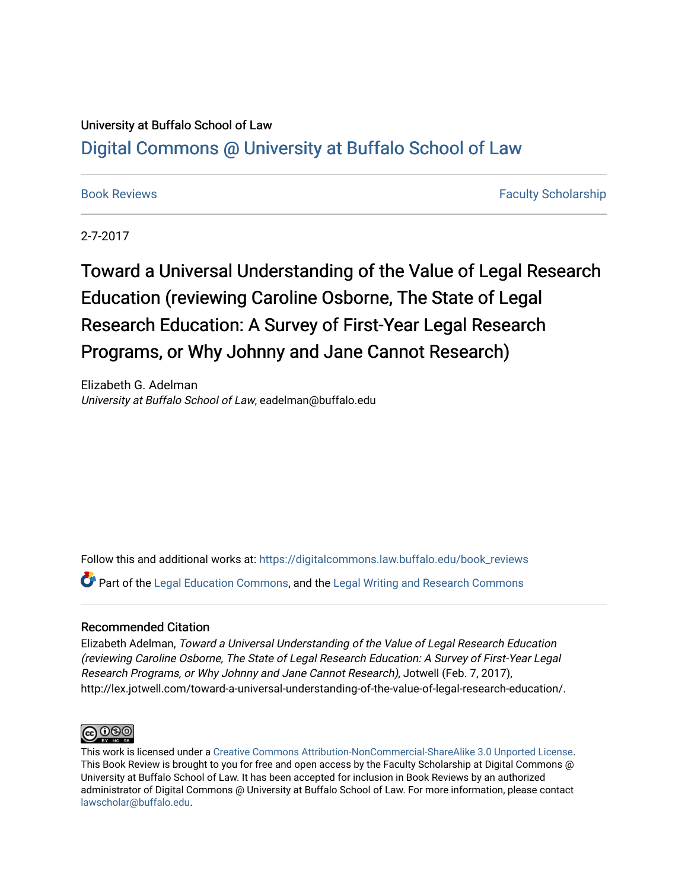## University at Buffalo School of Law [Digital Commons @ University at Buffalo School of Law](https://digitalcommons.law.buffalo.edu/)

[Book Reviews](https://digitalcommons.law.buffalo.edu/book_reviews) [Faculty Scholarship](https://digitalcommons.law.buffalo.edu/faculty_scholarship) Faculty Scholarship

2-7-2017

# Toward a Universal Understanding of the Value of Legal Research Education (reviewing Caroline Osborne, The State of Legal Research Education: A Survey of First-Year Legal Research Programs, or Why Johnny and Jane Cannot Research)

Elizabeth G. Adelman University at Buffalo School of Law, eadelman@buffalo.edu

Follow this and additional works at: [https://digitalcommons.law.buffalo.edu/book\\_reviews](https://digitalcommons.law.buffalo.edu/book_reviews?utm_source=digitalcommons.law.buffalo.edu%2Fbook_reviews%2F115&utm_medium=PDF&utm_campaign=PDFCoverPages) 

 $\bullet$  Part of the [Legal Education Commons,](http://network.bepress.com/hgg/discipline/857?utm_source=digitalcommons.law.buffalo.edu%2Fbook_reviews%2F115&utm_medium=PDF&utm_campaign=PDFCoverPages) and the [Legal Writing and Research Commons](http://network.bepress.com/hgg/discipline/614?utm_source=digitalcommons.law.buffalo.edu%2Fbook_reviews%2F115&utm_medium=PDF&utm_campaign=PDFCoverPages)

### Recommended Citation

Elizabeth Adelman, Toward a Universal Understanding of the Value of Legal Research Education (reviewing Caroline Osborne, The State of Legal Research Education: A Survey of First-Year Legal Research Programs, or Why Johnny and Jane Cannot Research), Jotwell (Feb. 7, 2017), http://lex.jotwell.com/toward-a-universal-understanding-of-the-value-of-legal-research-education/.



This work is licensed under a [Creative Commons Attribution-NonCommercial-ShareAlike 3.0 Unported License](http://creativecommons.org/licenses/by-nc-sa/3.0/). This Book Review is brought to you for free and open access by the Faculty Scholarship at Digital Commons @ University at Buffalo School of Law. It has been accepted for inclusion in Book Reviews by an authorized administrator of Digital Commons @ University at Buffalo School of Law. For more information, please contact [lawscholar@buffalo.edu](mailto:lawscholar@buffalo.edu).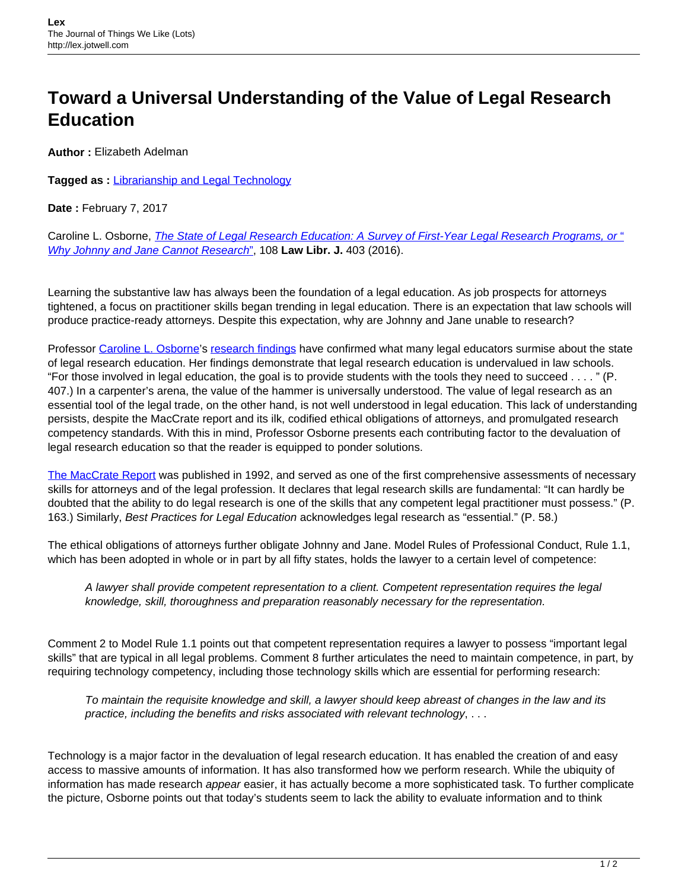# **Toward a Universal Understanding of the Value of Legal Research Education**

**Author :** Elizabeth Adelman

**Tagged as :** [Librarianship and Legal Technology](http://lex.jotwell.com/tag/librarianship/)

**Date :** February 7, 2017

Caroline L. Osborne, *The State of Legal Research Education: A Survey of First-Year Legal Research Programs, or* " [Why Johnny and Jane Cannot Research](http://www.aallnet.org/mm/Publications/llj/LLJ-Archives/vol-108/no-3/The-State-of-Legal-Research-Education-A-Survey-of-First-Year-Legal-Research-Programs-or-Why-Johnn.pdf)["](http://www.aallnet.org/mm/Publications/llj/LLJ-Archives/vol-108/no-3/The-State-of-Legal-Research-Education-A-Survey-of-First-Year-Legal-Research-Programs-or-Why-Johnn.pdf), 108 **Law Libr. J.** 403 (2016).

Learning the substantive law has always been the foundation of a legal education. As job prospects for attorneys tightened, a focus on practitioner skills began trending in legal education. There is an expectation that law schools will produce practice-ready attorneys. Despite this expectation, why are Johnny and Jane unable to research?

Professor [Caroline L. Osborne'](https://law2.wlu.edu/faculty/profiledetail.asp?id=236)s [research findings](http://www.aallnet.org/mm/Publications/llj/LLJ-Archives/vol-108/no-3/The-State-of-Legal-Research-Education-A-Survey-of-First-Year-Legal-Research-Programs-or-Why-Johnn.pdf) have confirmed what many legal educators surmise about the state of legal research education. Her findings demonstrate that legal research education is undervalued in law schools. "For those involved in legal education, the goal is to provide students with the tools they need to succeed . . . . " (P. 407.) In a carpenter's arena, the value of the hammer is universally understood. The value of legal research as an essential tool of the legal trade, on the other hand, is not well understood in legal education. This lack of understanding persists, despite the MacCrate report and its ilk, codified ethical obligations of attorneys, and promulgated research competency standards. With this in mind, Professor Osborne presents each contributing factor to the devaluation of legal research education so that the reader is equipped to ponder solutions.

[The MacCrate Report](http://www.americanbar.org/content/dam/aba/publications/misc/legal_education/2013_legal_education_and_professional_development_maccrate_report).authcheckdam.pdf) was published in 1992, and served as one of the first comprehensive assessments of necessary skills for attorneys and of the legal profession. It declares that legal research skills are fundamental: "It can hardly be doubted that the ability to do legal research is one of the skills that any competent legal practitioner must possess." (P. 163.) Similarly, Best Practices for Legal Education acknowledges legal research as "essential." (P. 58.)

The ethical obligations of attorneys further obligate Johnny and Jane. Model Rules of Professional Conduct, Rule 1.1, which has been adopted in whole or in part by all fifty states, holds the lawyer to a certain level of competence:

A lawyer shall provide competent representation to a client. Competent representation requires the legal knowledge, skill, thoroughness and preparation reasonably necessary for the representation.

Comment 2 to Model Rule 1.1 points out that competent representation requires a lawyer to possess "important legal skills" that are typical in all legal problems. Comment 8 further articulates the need to maintain competence, in part, by requiring technology competency, including those technology skills which are essential for performing research:

To maintain the requisite knowledge and skill, a lawyer should keep abreast of changes in the law and its practice, including the benefits and risks associated with relevant technology, . . .

Technology is a major factor in the devaluation of legal research education. It has enabled the creation of and easy access to massive amounts of information. It has also transformed how we perform research. While the ubiquity of information has made research appear easier, it has actually become a more sophisticated task. To further complicate the picture, Osborne points out that today's students seem to lack the ability to evaluate information and to think